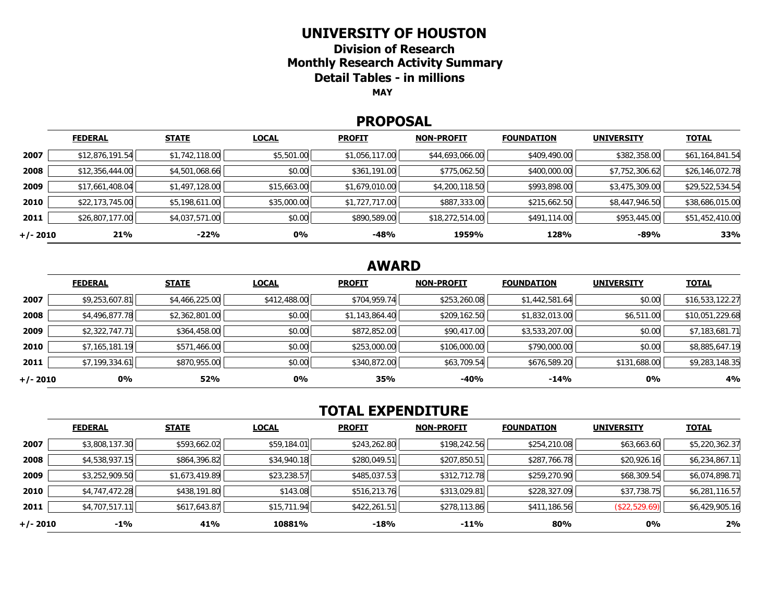## **UNIVERSITY OF HOUSTON**

**Division of ResearchMonthly Research Activity Summary Detail Tables - in millions MAY**

#### **PROPOSAL**

|            | <b>FEDERAL</b>  | <b>STATE</b>   | <b>LOCAL</b> | <b>PROFIT</b>  | <b>NON-PROFIT</b> | <b>FOUNDATION</b> | <b>UNIVERSITY</b> | <b>TOTAL</b>    |
|------------|-----------------|----------------|--------------|----------------|-------------------|-------------------|-------------------|-----------------|
| 2007       | \$12,876,191.54 | \$1,742,118.00 | \$5,501.00   | \$1,056,117.00 | \$44,693,066.00   | \$409,490.00      | \$382,358.00      | \$61,164,841.54 |
| 2008       | \$12,356,444.00 | \$4,501,068.66 | \$0.00       | \$361,191.00   | \$775,062.50      | \$400,000.00      | \$7,752,306.62    | \$26,146,072.78 |
| 2009       | \$17,661,408.04 | \$1,497,128.00 | \$15,663.00  | \$1,679,010.00 | \$4,200,118.50    | \$993,898.00      | \$3,475,309.00    | \$29,522,534.54 |
| 2010       | \$22,173,745.00 | \$5,198,611.00 | \$35,000.00  | \$1,727,717.00 | \$887,333.00      | \$215,662.50      | \$8,447,946.50    | \$38,686,015.00 |
| 2011       | \$26,807,177.00 | \$4,037,571.00 | \$0.00       | \$890,589.00   | \$18,272,514.00   | \$491,114.00      | \$953,445.00      | \$51,452,410.00 |
| $+/- 2010$ | 21%             | -22%           | 0%           | $-48%$         | 1959%             | 128%              | $-89%$            | 33%             |

## **AWARD**

|          | <b>FEDERAL</b> | <b>STATE</b>   | <b>LOCAL</b> | <b>PROFIT</b>  | <b>NON-PROFIT</b> | <b>FOUNDATION</b> | <b>UNIVERSITY</b> | <u>TOTAL</u>    |
|----------|----------------|----------------|--------------|----------------|-------------------|-------------------|-------------------|-----------------|
| 2007     | \$9,253,607.81 | \$4,466,225.00 | \$412,488.00 | \$704,959.74   | \$253,260.08      | \$1,442,581.64    | \$0.00            | \$16,533,122.27 |
| 2008     | \$4,496,877.78 | \$2,362,801.00 | \$0.00       | \$1,143,864.40 | \$209,162.50      | \$1,832,013.00    | \$6,511.00        | \$10,051,229.68 |
| 2009     | \$2,322,747.71 | \$364,458.00   | \$0.00       | \$872,852.00   | \$90,417.00       | \$3,533,207.00    | \$0.00            | \$7,183,681.71  |
| 2010     | \$7,165,181.19 | \$571,466.00   | \$0.00       | \$253,000.00   | \$106,000.00      | \$790,000.00      | \$0.00            | \$8,885,647.19  |
| 2011     | \$7,199,334.61 | \$870,955.00   | \$0.00       | \$340,872.00   | \$63,709.54       | \$676,589.20      | \$131,688.00      | \$9,283,148.35  |
| +/- 2010 | 0%             | 52%            | 0%           | 35%            | -40%              | $-14%$            | 0%                | 4%              |

# **TOTAL EXPENDITURE**

|          | <b>FEDERAL</b> | <b>STATE</b>   | <b>LOCAL</b> | <b>PROFIT</b> | <b>NON-PROFIT</b> | <b>FOUNDATION</b> | <b>UNIVERSITY</b> | <b>TOTAL</b>   |
|----------|----------------|----------------|--------------|---------------|-------------------|-------------------|-------------------|----------------|
| 2007     | \$3,808,137.30 | \$593,662.02   | \$59,184.01  | \$243,262.80  | \$198,242.56      | \$254,210.08      | \$63,663.60       | \$5,220,362.37 |
| 2008     | \$4,538,937.15 | \$864,396.82   | \$34,940.18  | \$280,049.51  | \$207,850.51      | \$287,766.78      | \$20,926.16       | \$6,234,867.11 |
| 2009     | \$3,252,909.50 | \$1,673,419.89 | \$23,238.57  | \$485,037.53  | \$312,712.78      | \$259,270.90      | \$68,309.54       | \$6,074,898.71 |
| 2010     | \$4,747,472.28 | \$438,191.80   | \$143.08     | \$516,213.76  | \$313,029.81      | \$228,327.09      | \$37,738.75       | \$6,281,116.57 |
| 2011     | \$4,707,517.11 | \$617,643.87   | \$15,711.94  | \$422,261.51  | \$278,113.86      | \$411,186.56      | (\$22,529.69)     | \$6,429,905.16 |
| +/- 2010 | $-1\%$         | 41%            | 10881%       | $-18%$        | $-11%$            | 80%               | 0%                | 2%             |